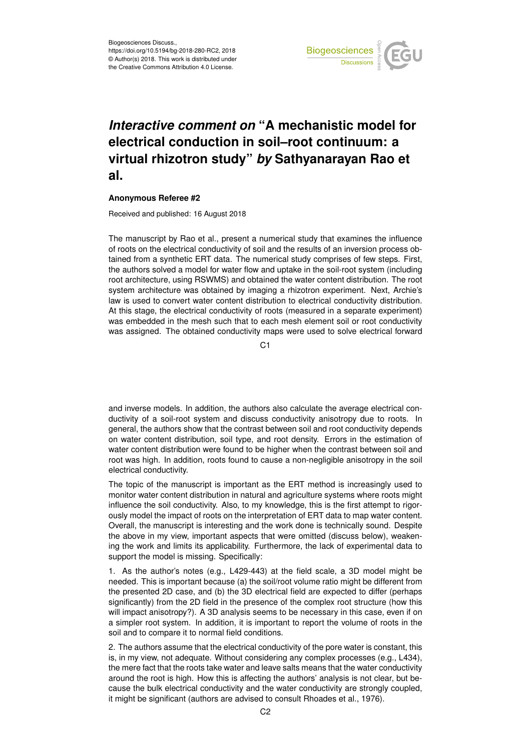

## *Interactive comment on* **"A mechanistic model for electrical conduction in soil–root continuum: a virtual rhizotron study"** *by* **Sathyanarayan Rao et al.**

## **Anonymous Referee #2**

Received and published: 16 August 2018

The manuscript by Rao et al., present a numerical study that examines the influence of roots on the electrical conductivity of soil and the results of an inversion process obtained from a synthetic ERT data. The numerical study comprises of few steps. First, the authors solved a model for water flow and uptake in the soil-root system (including root architecture, using RSWMS) and obtained the water content distribution. The root system architecture was obtained by imaging a rhizotron experiment. Next, Archie's law is used to convert water content distribution to electrical conductivity distribution. At this stage, the electrical conductivity of roots (measured in a separate experiment) was embedded in the mesh such that to each mesh element soil or root conductivity was assigned. The obtained conductivity maps were used to solve electrical forward

C<sub>1</sub>

and inverse models. In addition, the authors also calculate the average electrical conductivity of a soil-root system and discuss conductivity anisotropy due to roots. In general, the authors show that the contrast between soil and root conductivity depends on water content distribution, soil type, and root density. Errors in the estimation of water content distribution were found to be higher when the contrast between soil and root was high. In addition, roots found to cause a non-negligible anisotropy in the soil electrical conductivity.

The topic of the manuscript is important as the ERT method is increasingly used to monitor water content distribution in natural and agriculture systems where roots might influence the soil conductivity. Also, to my knowledge, this is the first attempt to rigorously model the impact of roots on the interpretation of ERT data to map water content. Overall, the manuscript is interesting and the work done is technically sound. Despite the above in my view, important aspects that were omitted (discuss below), weakening the work and limits its applicability. Furthermore, the lack of experimental data to support the model is missing. Specifically:

1. As the author's notes (e.g., L429-443) at the field scale, a 3D model might be needed. This is important because (a) the soil/root volume ratio might be different from the presented 2D case, and (b) the 3D electrical field are expected to differ (perhaps significantly) from the 2D field in the presence of the complex root structure (how this will impact anisotropy?). A 3D analysis seems to be necessary in this case, even if on a simpler root system. In addition, it is important to report the volume of roots in the soil and to compare it to normal field conditions.

2. The authors assume that the electrical conductivity of the pore water is constant, this is, in my view, not adequate. Without considering any complex processes (e.g., L434), the mere fact that the roots take water and leave salts means that the water conductivity around the root is high. How this is affecting the authors' analysis is not clear, but because the bulk electrical conductivity and the water conductivity are strongly coupled, it might be significant (authors are advised to consult Rhoades et al., 1976).